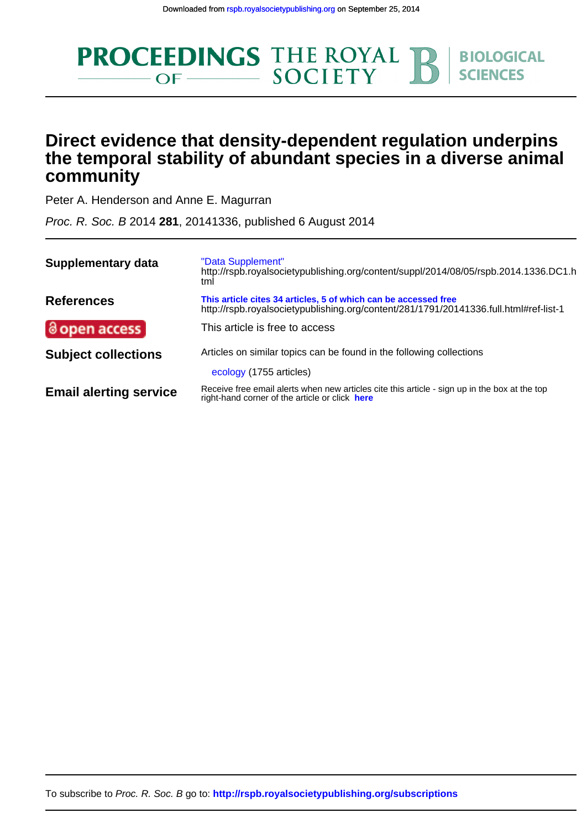

# **community the temporal stability of abundant species in a diverse animal Direct evidence that density-dependent regulation underpins**

Peter A. Henderson and Anne E. Magurran

Proc. R. Soc. B 2014 **281**, 20141336, published 6 August 2014

| Supplementary data            | "Data Supplement"<br>http://rspb.royalsocietypublishing.org/content/suppl/2014/08/05/rspb.2014.1336.DC1.h<br>tml                                         |
|-------------------------------|----------------------------------------------------------------------------------------------------------------------------------------------------------|
| <b>References</b>             | This article cites 34 articles, 5 of which can be accessed free<br>http://rspb.royalsocietypublishing.org/content/281/1791/20141336.full.html#ref-list-1 |
| @ open access                 | This article is free to access                                                                                                                           |
| <b>Subject collections</b>    | Articles on similar topics can be found in the following collections<br>ecology (1755 articles)                                                          |
| <b>Email alerting service</b> | Receive free email alerts when new articles cite this article - sign up in the box at the top<br>right-hand corner of the article or click here          |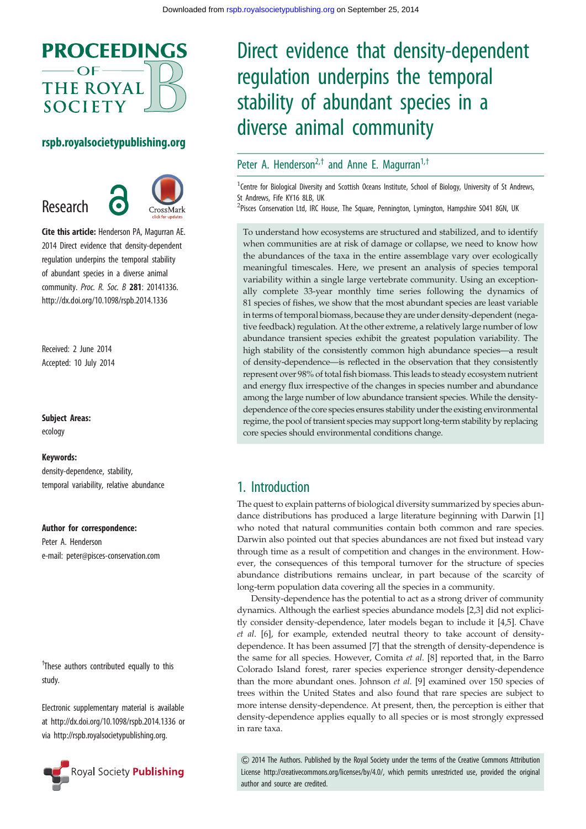

## rspb.royalsocietypublishing.org

Research



Cite this article: Henderson PA, Magurran AE. 2014 Direct evidence that density-dependent regulation underpins the temporal stability of abundant species in a diverse animal community. Proc. R. Soc. B 281: 20141336. http://dx.doi.org/10.1098/rspb.2014.1336

Received: 2 June 2014 Accepted: 10 July 2014

Subject Areas: ecology

#### Keywords:

density-dependence, stability, temporal variability, relative abundance

#### Author for correspondence:

Peter A. Henderson e-mail: [peter@pisces-conservation.com](mailto:peter@pisces-conservation.com)

<sup>†</sup>These authors contributed equally to this study.

Electronic supplementary material is available at<http://dx.doi.org/10.1098/rspb.2014.1336> or via<http://rspb.royalsocietypublishing.org>.



# Direct evidence that density-dependent regulation underpins the temporal stability of abundant species in a diverse animal community

## Peter A. Henderson<sup>2,†</sup> and Anne E. Magurran<sup>1,†</sup>

<sup>1</sup>Centre for Biological Diversity and Scottish Oceans Institute, School of Biology, University of St Andrews, St Andrews, Fife KY16 8LB, UK

<sup>2</sup>Pisces Conservation Ltd, IRC House, The Square, Pennington, Lymington, Hampshire SO41 8GN, UK

To understand how ecosystems are structured and stabilized, and to identify when communities are at risk of damage or collapse, we need to know how the abundances of the taxa in the entire assemblage vary over ecologically meaningful timescales. Here, we present an analysis of species temporal variability within a single large vertebrate community. Using an exceptionally complete 33-year monthly time series following the dynamics of 81 species of fishes, we show that the most abundant species are least variable in terms of temporal biomass, because they are under density-dependent (negative feedback) regulation. At the other extreme, a relatively large number of low abundance transient species exhibit the greatest population variability. The high stability of the consistently common high abundance species—a result of density-dependence—is reflected in the observation that they consistently represent over 98% of total fish biomass. This leads to steady ecosystem nutrient and energy flux irrespective of the changes in species number and abundance among the large number of low abundance transient species. While the densitydependence of the core species ensures stability under the existing environmental regime, the pool of transient species may support long-term stability by replacing core species should environmental conditions change.

# 1. Introduction

The quest to explain patterns of biological diversity summarized by species abundance distributions has produced a large literature beginning with Darwin [\[1\]](#page-4-0) who noted that natural communities contain both common and rare species. Darwin also pointed out that species abundances are not fixed but instead vary through time as a result of competition and changes in the environment. However, the consequences of this temporal turnover for the structure of species abundance distributions remains unclear, in part because of the scarcity of long-term population data covering all the species in a community.

Density-dependence has the potential to act as a strong driver of community dynamics. Although the earliest species abundance models [\[2,3](#page-4-0)] did not explicitly consider density-dependence, later models began to include it [[4,5\]](#page-4-0). Chave et al. [\[6\]](#page-4-0), for example, extended neutral theory to take account of densitydependence. It has been assumed [\[7\]](#page-4-0) that the strength of density-dependence is the same for all species. However, Comita et al. [\[8\]](#page-4-0) reported that, in the Barro Colorado Island forest, rarer species experience stronger density-dependence than the more abundant ones. Johnson et al. [[9](#page-4-0)] examined over 150 species of trees within the United States and also found that rare species are subject to more intense density-dependence. At present, then, the perception is either that density-dependence applies equally to all species or is most strongly expressed in rare taxa.

& 2014 The Authors. Published by the Royal Society under the terms of the Creative Commons Attribution License http://creativecommons.org/licenses/by/4.0/, which permits unrestricted use, provided the original author and source are credited.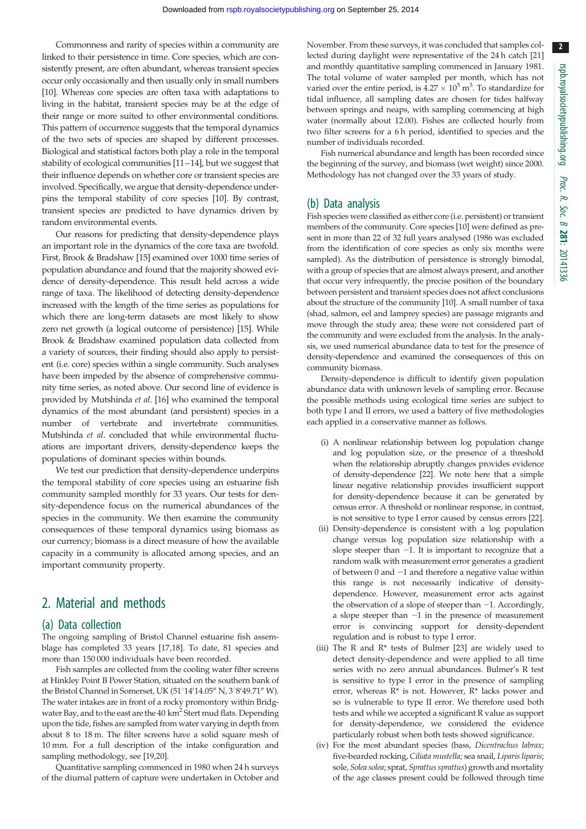2

Commonness and rarity of species within a community are linked to their persistence in time. Core species, which are consistently present, are often abundant, whereas transient species occur only occasionally and then usually only in small numbers [\[10](#page-5-0)]. Whereas core species are often taxa with adaptations to living in the habitat, transient species may be at the edge of their range or more suited to other environmental conditions. This pattern of occurrence suggests that the temporal dynamics of the two sets of species are shaped by different processes. Biological and statistical factors both play a role in the temporal stability of ecological communities [[11](#page-5-0)–[14](#page-5-0)], but we suggest that their influence depends on whether core or transient species are involved. Specifically, we argue that density-dependence underpins the temporal stability of core species [[10](#page-5-0)]. By contrast, transient species are predicted to have dynamics driven by random environmental events.

Our reasons for predicting that density-dependence plays an important role in the dynamics of the core taxa are twofold. First, Brook & Bradshaw [\[15\]](#page-5-0) examined over 1000 time series of population abundance and found that the majority showed evidence of density-dependence. This result held across a wide range of taxa. The likelihood of detecting density-dependence increased with the length of the time series as populations for which there are long-term datasets are most likely to show zero net growth (a logical outcome of persistence) [[15\]](#page-5-0). While Brook & Bradshaw examined population data collected from a variety of sources, their finding should also apply to persistent (i.e. core) species within a single community. Such analyses have been impeded by the absence of comprehensive community time series, as noted above. Our second line of evidence is provided by Mutshinda et al. [\[16\]](#page-5-0) who examined the temporal dynamics of the most abundant (and persistent) species in a number of vertebrate and invertebrate communities. Mutshinda et al. concluded that while environmental fluctuations are important drivers, density-dependence keeps the populations of dominant species within bounds.

We test our prediction that density-dependence underpins the temporal stability of core species using an estuarine fish community sampled monthly for 33 years. Our tests for density-dependence focus on the numerical abundances of the species in the community. We then examine the community consequences of these temporal dynamics using biomass as our currency; biomass is a direct measure of how the available capacity in a community is allocated among species, and an important community property.

# 2. Material and methods

#### (a) Data collection

The ongoing sampling of Bristol Channel estuarine fish assemblage has completed 33 years [[17](#page-5-0),[18](#page-5-0)]. To date, 81 species and more than 150 000 individuals have been recorded.

Fish samples are collected from the cooling water filter screens at Hinkley Point B Power Station, situated on the southern bank of the Bristol Channel in Somerset, UK  $(51°14'14.05''$  N,  $3°8'49.71''$  W). The water intakes are in front of a rocky promontory within Bridgwater Bay, and to the east are the 40 km<sup>2</sup> Stert mud flats. Depending upon the tide, fishes are sampled from water varying in depth from about 8 to 18 m. The filter screens have a solid square mesh of 10 mm. For a full description of the intake configuration and sampling methodology, see [\[19,20\]](#page-5-0).

Quantitative sampling commenced in 1980 when 24 h surveys of the diurnal pattern of capture were undertaken in October and November. From these surveys, it was concluded that samples collected during daylight were representative of the 24 h catch [[21](#page-5-0)] and monthly quantitative sampling commenced in January 1981. The total volume of water sampled per month, which has not varied over the entire period, is  $4.27 \times 10^5$  m<sup>3</sup>. To standardize for tidal influence, all sampling dates are chosen for tides halfway between springs and neaps, with sampling commencing at high water (normally about 12.00). Fishes are collected hourly from two filter screens for a 6 h period, identified to species and the number of individuals recorded.

Fish numerical abundance and length has been recorded since the beginning of the survey, and biomass (wet weight) since 2000. Methodology has not changed over the 33 years of study.

## (b) Data analysis

Fish species were classified as either core (i.e. persistent) or transient members of the community. Core species [\[10](#page-5-0)] were defined as present in more than 22 of 32 full years analysed (1986 was excluded from the identification of core species as only six months were sampled). As the distribution of persistence is strongly bimodal, with a group of species that are almost always present, and another that occur very infrequently, the precise position of the boundary between persistent and transient species does not affect conclusions about the structure of the community [\[10](#page-5-0)]. A small number of taxa (shad, salmon, eel and lamprey species) are passage migrants and move through the study area; these were not considered part of the community and were excluded from the analysis. In the analysis, we used numerical abundance data to test for the presence of density-dependence and examined the consequences of this on community biomass.

Density-dependence is difficult to identify given population abundance data with unknown levels of sampling error. Because the possible methods using ecological time series are subject to both type I and II errors, we used a battery of five methodologies each applied in a conservative manner as follows.

- (i) A nonlinear relationship between log population change and log population size, or the presence of a threshold when the relationship abruptly changes provides evidence of density-dependence [\[22](#page-5-0)]. We note here that a simple linear negative relationship provides insufficient support for density-dependence because it can be generated by census error. A threshold or nonlinear response, in contrast, is not sensitive to type I error caused by census errors [[22](#page-5-0)].
- (ii) Density-dependence is consistent with a log population change versus log population size relationship with a slope steeper than  $-1$ . It is important to recognize that a random walk with measurement error generates a gradient of between 0 and  $-1$  and therefore a negative value within this range is not necessarily indicative of densitydependence. However, measurement error acts against the observation of a slope of steeper than  $-1$ . Accordingly, a slope steeper than  $-1$  in the presence of measurement error is convincing support for density-dependent regulation and is robust to type I error.
- (iii) The R and  $R^*$  tests of Bulmer [\[23\]](#page-5-0) are widely used to detect density-dependence and were applied to all time series with no zero annual abundances. Bulmer's R test is sensitive to type I error in the presence of sampling error, whereas  $R^*$  is not. However,  $R^*$  lacks power and so is vulnerable to type II error. We therefore used both tests and while we accepted a significant R value as support for density-dependence, we considered the evidence particularly robust when both tests showed significance.
- (iv) For the most abundant species (bass, Dicentrachus labrax; five-bearded rocking, Ciliata mustella; sea snail, Liparis liparis; sole, Solea solea; sprat, Sprattus sprattus) growth and mortality of the age classes present could be followed through time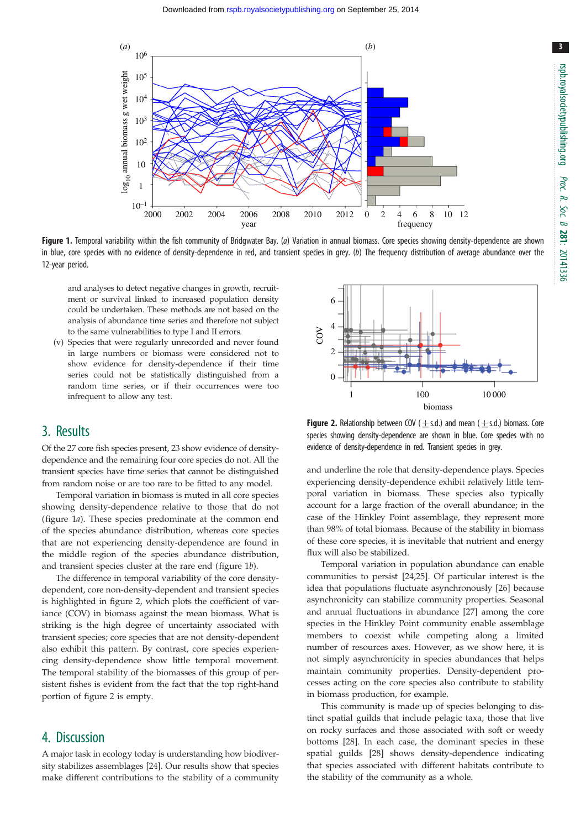Downloaded from [rspb.royalsocietypublishing.org](http://rspb.royalsocietypublishing.org/) on September 25, 2014



Figure 1. Temporal variability within the fish community of Bridgwater Bay. (a) Variation in annual biomass. Core species showing density-dependence are shown in blue, core species with no evidence of density-dependence in red, and transient species in grey. (b) The frequency distribution of average abundance over the 12-year period.

and analyses to detect negative changes in growth, recruitment or survival linked to increased population density could be undertaken. These methods are not based on the analysis of abundance time series and therefore not subject to the same vulnerabilities to type I and II errors.

(v) Species that were regularly unrecorded and never found in large numbers or biomass were considered not to show evidence for density-dependence if their time series could not be statistically distinguished from a random time series, or if their occurrences were too infrequent to allow any test.

# 3. Results

Of the 27 core fish species present, 23 show evidence of densitydependence and the remaining four core species do not. All the transient species have time series that cannot be distinguished from random noise or are too rare to be fitted to any model.

Temporal variation in biomass is muted in all core species showing density-dependence relative to those that do not (figure 1a). These species predominate at the common end of the species abundance distribution, whereas core species that are not experiencing density-dependence are found in the middle region of the species abundance distribution, and transient species cluster at the rare end (figure 1b).

The difference in temporal variability of the core densitydependent, core non-density-dependent and transient species is highlighted in figure 2, which plots the coefficient of variance (COV) in biomass against the mean biomass. What is striking is the high degree of uncertainty associated with transient species; core species that are not density-dependent also exhibit this pattern. By contrast, core species experiencing density-dependence show little temporal movement. The temporal stability of the biomasses of this group of persistent fishes is evident from the fact that the top right-hand portion of figure 2 is empty.

# 4. Discussion

A major task in ecology today is understanding how biodiversity stabilizes assemblages [\[24](#page-5-0)]. Our results show that species make different contributions to the stability of a community



Figure 2. Relationship between COV ( $\pm$  s.d.) and mean ( $\pm$  s.d.) biomass. Core species showing density-dependence are shown in blue. Core species with no evidence of density-dependence in red. Transient species in grey.

and underline the role that density-dependence plays. Species experiencing density-dependence exhibit relatively little temporal variation in biomass. These species also typically account for a large fraction of the overall abundance; in the case of the Hinkley Point assemblage, they represent more than 98% of total biomass. Because of the stability in biomass of these core species, it is inevitable that nutrient and energy flux will also be stabilized.

Temporal variation in population abundance can enable communities to persist [[24,25\]](#page-5-0). Of particular interest is the idea that populations fluctuate asynchronously [[26\]](#page-5-0) because asynchronicity can stabilize community properties. Seasonal and annual fluctuations in abundance [\[27](#page-5-0)] among the core species in the Hinkley Point community enable assemblage members to coexist while competing along a limited number of resources axes. However, as we show here, it is not simply asynchronicity in species abundances that helps maintain community properties. Density-dependent processes acting on the core species also contribute to stability in biomass production, for example.

This community is made up of species belonging to distinct spatial guilds that include pelagic taxa, those that live on rocky surfaces and those associated with soft or weedy bottoms [\[28](#page-5-0)]. In each case, the dominant species in these spatial guilds [\[28](#page-5-0)] shows density-dependence indicating that species associated with different habitats contribute to the stability of the community as a whole.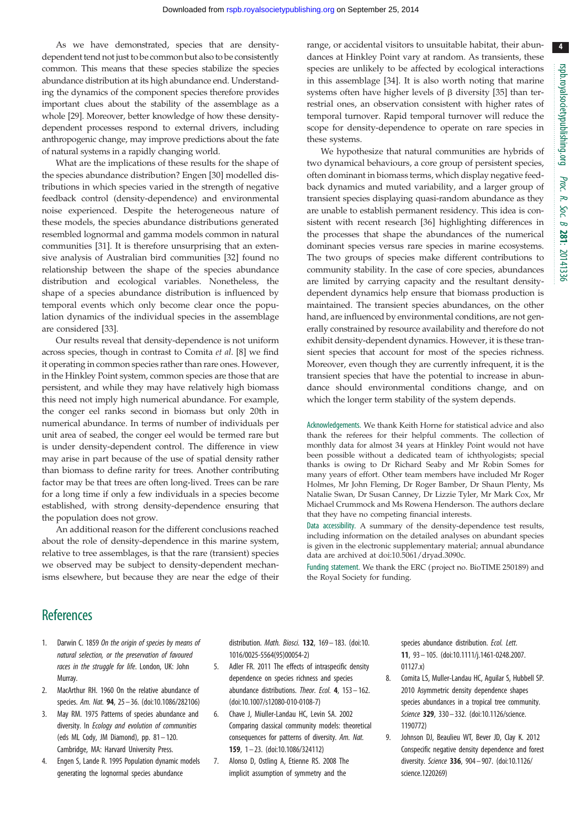4

<span id="page-4-0"></span>As we have demonstrated, species that are densitydependent tend not just to be common but also to be consistently common. This means that these species stabilize the species abundance distribution at its high abundance end. Understanding the dynamics of the component species therefore provides important clues about the stability of the assemblage as a whole [[29](#page-5-0)]. Moreover, better knowledge of how these densitydependent processes respond to external drivers, including anthropogenic change, may improve predictions about the fate of natural systems in a rapidly changing world.

What are the implications of these results for the shape of the species abundance distribution? Engen [\[30](#page-5-0)] modelled distributions in which species varied in the strength of negative feedback control (density-dependence) and environmental noise experienced. Despite the heterogeneous nature of these models, the species abundance distributions generated resembled lognormal and gamma models common in natural communities [[31\]](#page-5-0). It is therefore unsurprising that an extensive analysis of Australian bird communities [[32\]](#page-5-0) found no relationship between the shape of the species abundance distribution and ecological variables. Nonetheless, the shape of a species abundance distribution is influenced by temporal events which only become clear once the population dynamics of the individual species in the assemblage are considered [\[33](#page-5-0)].

Our results reveal that density-dependence is not uniform across species, though in contrast to Comita et al. [8] we find it operating in common species rather than rare ones. However, in the Hinkley Point system, common species are those that are persistent, and while they may have relatively high biomass this need not imply high numerical abundance. For example, the conger eel ranks second in biomass but only 20th in numerical abundance. In terms of number of individuals per unit area of seabed, the conger eel would be termed rare but is under density-dependent control. The difference in view may arise in part because of the use of spatial density rather than biomass to define rarity for trees. Another contributing factor may be that trees are often long-lived. Trees can be rare for a long time if only a few individuals in a species become established, with strong density-dependence ensuring that the population does not grow.

An additional reason for the different conclusions reached about the role of density-dependence in this marine system, relative to tree assemblages, is that the rare (transient) species we observed may be subject to density-dependent mechanisms elsewhere, but because they are near the edge of their

range, or accidental visitors to unsuitable habitat, their abundances at Hinkley Point vary at random. As transients, these species are unlikely to be affected by ecological interactions in this assemblage [[34\]](#page-5-0). It is also worth noting that marine systems often have higher levels of  $\beta$  diversity [[35\]](#page-5-0) than terrestrial ones, an observation consistent with higher rates of temporal turnover. Rapid temporal turnover will reduce the scope for density-dependence to operate on rare species in these systems.

We hypothesize that natural communities are hybrids of two dynamical behaviours, a core group of persistent species, often dominant in biomass terms, which display negative feedback dynamics and muted variability, and a larger group of transient species displaying quasi-random abundance as they are unable to establish permanent residency. This idea is consistent with recent research [\[36](#page-5-0)] highlighting differences in the processes that shape the abundances of the numerical dominant species versus rare species in marine ecosystems. The two groups of species make different contributions to community stability. In the case of core species, abundances are limited by carrying capacity and the resultant densitydependent dynamics help ensure that biomass production is maintained. The transient species abundances, on the other hand, are influenced by environmental conditions, are not generally constrained by resource availability and therefore do not exhibit density-dependent dynamics. However, it is these transient species that account for most of the species richness. Moreover, even though they are currently infrequent, it is the transient species that have the potential to increase in abundance should environmental conditions change, and on which the longer term stability of the system depends.

Acknowledgements. We thank Keith Horne for statistical advice and also thank the referees for their helpful comments. The collection of monthly data for almost 34 years at Hinkley Point would not have been possible without a dedicated team of ichthyologists; special thanks is owing to Dr Richard Seaby and Mr Robin Somes for many years of effort. Other team members have included Mr Roger Holmes, Mr John Fleming, Dr Roger Bamber, Dr Shaun Plenty, Ms Natalie Swan, Dr Susan Canney, Dr Lizzie Tyler, Mr Mark Cox, Mr Michael Crummock and Ms Rowena Henderson. The authors declare that they have no competing financial interests.

Data accessibility. A summary of the density-dependence test results, including information on the detailed analyses on abundant species is given in the electronic supplementary material; annual abundance data are archived at [doi:10.5061/dryad.3090c](http://dx.doi.org/10.5061/dryad.3090c).

Funding statement. We thank the ERC (project no. BioTIME 250189) and the Royal Society for funding.

# **References**

- 1. Darwin C. 1859 On the origin of species by means of natural selection, or the preservation of favoured races in the struggle for life. London, UK: John Murray.
- 2. MacArthur RH. 1960 On the relative abundance of species. Am. Nat. 94, 25-36. [\(doi:10.1086/282106\)](http://dx.doi.org/10.1086/282106)
- 3. May RM. 1975 Patterns of species abundance and diversity. In Ecology and evolution of communities (eds ML Cody, JM Diamond), pp. 81-120. Cambridge, MA: Harvard University Press.
- 4. Engen S, Lande R. 1995 Population dynamic models generating the lognormal species abundance

distribution. Math. Biosci. **132**, 169 - 183. ([doi:10.](http://dx.doi.org/10.1016/0025-5564(95)00054-2) [1016/0025-5564\(95\)00054-2](http://dx.doi.org/10.1016/0025-5564(95)00054-2))

- 5. Adler FR. 2011 The effects of intraspecific density dependence on species richness and species abundance distributions. Theor. Ecol. 4, 153– 162. [\(doi:10.1007/s12080-010-0108-7](http://dx.doi.org/10.1007/s12080-010-0108-7))
- 6. Chave J, Miuller-Landau HC, Levin SA. 2002 Comparing classical community models: theoretical consequences for patterns of diversity. Am. Nat. 159, 1 – 23. [\(doi:10.1086/324112](http://dx.doi.org/10.1086/324112))
- 7. Alonso D, Ostling A, Etienne RS. 2008 The implicit assumption of symmetry and the

species abundance distribution. Ecol. Lett. 11, 93 – 105. [\(doi:10.1111/j.1461-0248.2007.](http://dx.doi.org/10.1111/j.1461-0248.2007.01127.x) [01127.x](http://dx.doi.org/10.1111/j.1461-0248.2007.01127.x))

- 8. Comita LS, Muller-Landau HC, Aguilar S, Hubbell SP. 2010 Asymmetric density dependence shapes species abundances in a tropical tree community. Science 329, 330-332. [\(doi:10.1126/science.](http://dx.doi.org/10.1126/science.1190772) [1190772](http://dx.doi.org/10.1126/science.1190772))
- 9. Johnson DJ, Beaulieu WT, Bever JD, Clay K. 2012 Conspecific negative density dependence and forest diversity. Science 336, 904– 907. ([doi:10.1126/](http://dx.doi.org/10.1126/science.1220269) [science.1220269](http://dx.doi.org/10.1126/science.1220269))